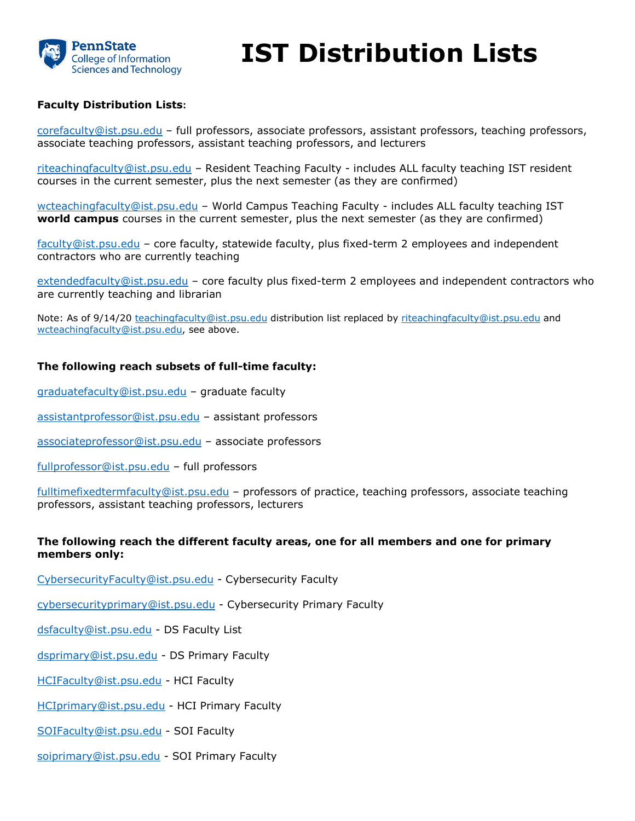

# **IST Distribution Lists**

### **Faculty Distribution Lists:**

[corefaculty@ist.psu.edu](mailto:corefaculty@ist.psu.edu) – full professors, associate professors, assistant professors, teaching professors, associate teaching professors, assistant teaching professors, and lecturers

[riteachingfaculty@ist.psu.edu](mailto:riteachingfaculty@ist.psu.edu) – Resident Teaching Faculty - includes ALL faculty teaching IST resident courses in the current semester, plus the next semester (as they are confirmed)

[wcteachingfaculty@ist.psu.edu](mailto:wcteachingfaculty@ist.psu.edu) – World Campus Teaching Faculty - includes ALL faculty teaching IST **world campus** courses in the current semester, plus the next semester (as they are confirmed)

[faculty@ist.psu.edu](mailto:faculty@ist.psu.edu) – core faculty, statewide faculty, plus fixed-term 2 employees and independent contractors who are currently teaching

[extendedfaculty@ist.psu.edu](mailto:extendedfaculty@ist.psu.edu) – core faculty plus fixed-term 2 employees and independent contractors who are currently teaching and librarian

Note: As of 9/14/20 [teachingfaculty@ist.psu.edu](mailto:teachingfaculty@ist.psu.edu) distribution list replaced by [riteachingfaculty@ist.psu.edu](mailto:riteachingfaculty@ist.psu.edu) and [wcteachingfaculty@ist.psu.edu,](mailto:wcteachingfaculty@ist.psu.edu) see above.

#### **The following reach subsets of full-time faculty:**

[graduatefaculty@ist.psu.edu](mailto:graduatefaculty@ist.psu.edu) – graduate faculty

[assistantprofessor@ist.psu.edu](mailto:assistantprofessor@ist.psu.edu) – assistant professors

[associateprofessor@ist.psu.edu](mailto:associateprofessor@ist.psu.edu) – associate professors

[fullprofessor@ist.psu.edu](mailto:fullprofessor@ist.psu.edu) – full professors

[fulltimefixedtermfaculty@ist.psu.edu](mailto:fulltimefixedtermfaculty@ist.psu.edu) – professors of practice, teaching professors, associate teaching professors, assistant teaching professors, lecturers

#### **The following reach the different faculty areas, one for all members and one for primary members only:**

[CybersecurityFaculty@ist.psu.edu](mailto:CybersecurityFaculty@ist.psu.edu) - Cybersecurity Faculty

[cybersecurityprimary@ist.psu.edu](mailto:cybersecurityprimary@ist.psu.edu) - Cybersecurity Primary Faculty

[dsfaculty@ist.psu.edu](mailto:dsfaculty@ist.psu.edu) - DS Faculty List

[dsprimary@ist.psu.edu](mailto:dsprimary@ist.psu.edu) - DS Primary Faculty

[HCIFaculty@ist.psu.edu](mailto:HCIFaculty@ist.psu.edu) - HCI Faculty

[HCIprimary@ist.psu.edu](mailto:HCIprimary@ist.psu.edu) - HCI Primary Faculty

[SOIFaculty@ist.psu.edu](mailto:SOIFaculty@ist.psu.edu) - SOI Faculty

[soiprimary@ist.psu.edu](mailto:soiprimary@ist.psu.edu) - SOI Primary Faculty